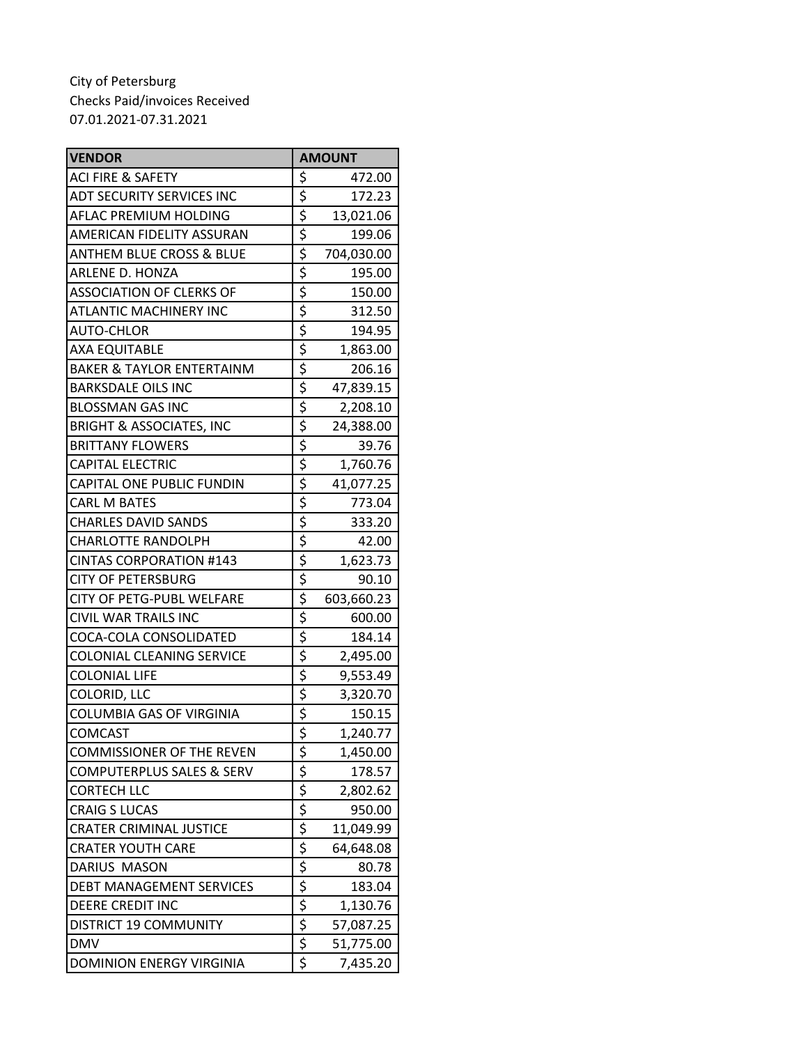| <b>VENDOR</b>                        |                                      | <b>AMOUNT</b> |  |
|--------------------------------------|--------------------------------------|---------------|--|
| <b>ACI FIRE &amp; SAFETY</b>         | \$                                   | 472.00        |  |
| ADT SECURITY SERVICES INC            | \$                                   | 172.23        |  |
| AFLAC PREMIUM HOLDING                | \$                                   | 13,021.06     |  |
| AMERICAN FIDELITY ASSURAN            | $\overline{\xi}$                     | 199.06        |  |
| ANTHEM BLUE CROSS & BLUE             | $\frac{1}{2}$<br>$\frac{1}{2}$       | 704,030.00    |  |
| ARLENE D. HONZA                      |                                      | 195.00        |  |
| <b>ASSOCIATION OF CLERKS OF</b>      |                                      | 150.00        |  |
| <b>ATLANTIC MACHINERY INC</b>        | $\overline{\xi}$                     | 312.50        |  |
| <b>AUTO-CHLOR</b>                    | $rac{5}{5}$                          | 194.95        |  |
| <b>AXA EQUITABLE</b>                 |                                      | 1,863.00      |  |
| <b>BAKER &amp; TAYLOR ENTERTAINM</b> | $rac{5}{5}$                          | 206.16        |  |
| <b>BARKSDALE OILS INC</b>            |                                      | 47,839.15     |  |
| <b>BLOSSMAN GAS INC</b>              |                                      | 2,208.10      |  |
| <b>BRIGHT &amp; ASSOCIATES, INC</b>  | $\overline{\overline{\overline{z}}}$ | 24,388.00     |  |
| <b>BRITTANY FLOWERS</b>              | $\overline{\xi}$                     | 39.76         |  |
| <b>CAPITAL ELECTRIC</b>              | \$                                   | 1,760.76      |  |
| <b>CAPITAL ONE PUBLIC FUNDIN</b>     | $\frac{1}{5}$<br>$\frac{1}{5}$       | 41,077.25     |  |
| <b>CARL M BATES</b>                  |                                      | 773.04        |  |
| <b>CHARLES DAVID SANDS</b>           |                                      | 333.20        |  |
| <b>CHARLOTTE RANDOLPH</b>            |                                      | 42.00         |  |
| <b>CINTAS CORPORATION #143</b>       | $\overline{\varsigma}$               | 1,623.73      |  |
| <b>CITY OF PETERSBURG</b>            | $\overline{\xi}$                     | 90.10         |  |
| CITY OF PETG-PUBL WELFARE            | \$                                   | 603,660.23    |  |
| <b>CIVIL WAR TRAILS INC</b>          | $rac{5}{5}$                          | 600.00        |  |
| COCA-COLA CONSOLIDATED               |                                      | 184.14        |  |
| COLONIAL CLEANING SERVICE            | $rac{5}{5}$                          | 2,495.00      |  |
| <b>COLONIAL LIFE</b>                 |                                      | 9,553.49      |  |
| COLORID, LLC                         | $rac{5}{5}$                          | 3,320.70      |  |
| <b>COLUMBIA GAS OF VIRGINIA</b>      |                                      | 150.15        |  |
| <b>COMCAST</b>                       |                                      | 1,240.77      |  |
| <b>COMMISSIONER OF THE REVEN</b>     |                                      | 1,450.00      |  |
| <b>COMPUTERPLUS SALES &amp; SERV</b> |                                      | 178.57        |  |
| <b>CORTECH LLC</b>                   |                                      | 2,802.62      |  |
| <b>CRAIG S LUCAS</b>                 |                                      | 950.00        |  |
| <b>CRATER CRIMINAL JUSTICE</b>       |                                      | 11,049.99     |  |
| <b>CRATER YOUTH CARE</b>             |                                      | 64,648.08     |  |
| <b>DARIUS MASON</b>                  |                                      | 80.78         |  |
| <b>DEBT MANAGEMENT SERVICES</b>      |                                      | 183.04        |  |
| <b>DEERE CREDIT INC</b>              |                                      | 1,130.76      |  |
| DISTRICT 19 COMMUNITY                | \$ \$ \$ \$ \$ \$ \$ \$ \$ \$<br>\$  | 57,087.25     |  |
| <b>DMV</b>                           |                                      | 51,775.00     |  |
| <b>DOMINION ENERGY VIRGINIA</b>      |                                      | 7,435.20      |  |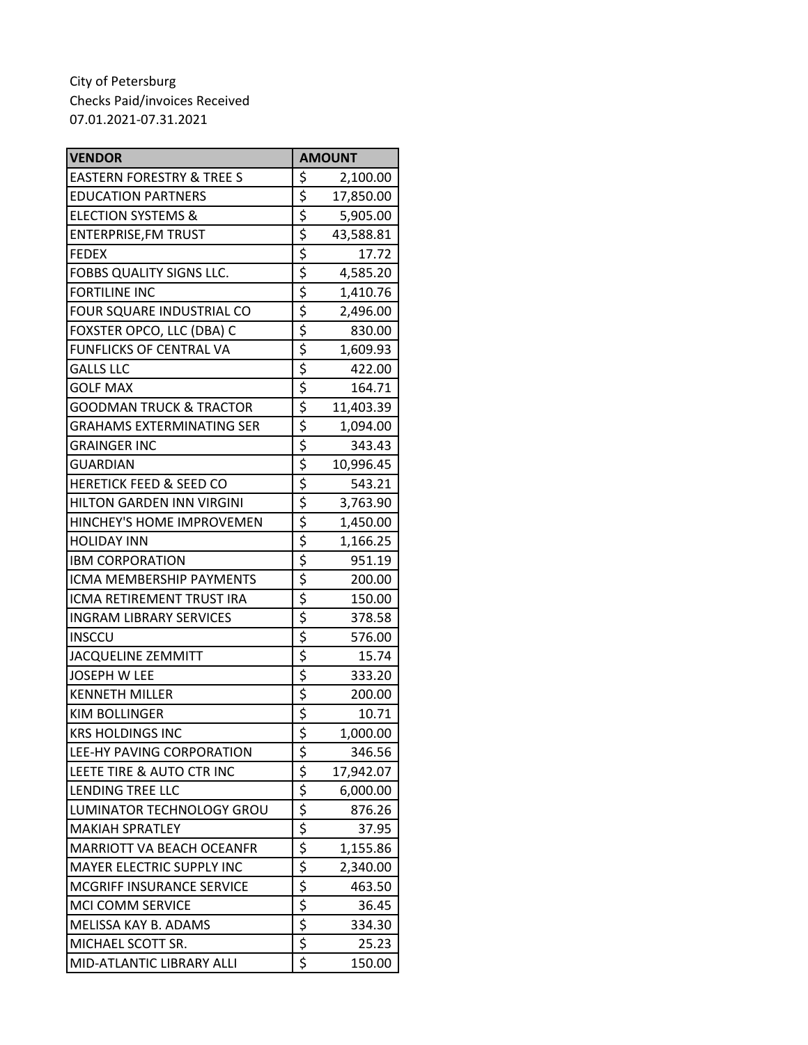| <b>VENDOR</b>                        |                                     | <b>AMOUNT</b> |
|--------------------------------------|-------------------------------------|---------------|
| <b>EASTERN FORESTRY &amp; TREE S</b> | \$                                  | 2,100.00      |
| <b>EDUCATION PARTNERS</b>            | \$                                  | 17,850.00     |
| <b>ELECTION SYSTEMS &amp;</b>        | \$                                  | 5,905.00      |
| <b>ENTERPRISE, FM TRUST</b>          | $\overline{\xi}$                    | 43,588.81     |
| <b>FEDEX</b>                         | $rac{1}{5}$                         | 17.72         |
| FOBBS QUALITY SIGNS LLC.             |                                     | 4,585.20      |
| <b>FORTILINE INC</b>                 | $\frac{1}{5}$                       | 1,410.76      |
| FOUR SQUARE INDUSTRIAL CO            | \$                                  | 2,496.00      |
| FOXSTER OPCO, LLC (DBA) C            | \$                                  | 830.00        |
| FUNFLICKS OF CENTRAL VA              | $\overline{\xi}$                    | 1,609.93      |
| <b>GALLS LLC</b>                     | \$                                  | 422.00        |
| <b>GOLF MAX</b>                      | $rac{5}{5}$                         | 164.71        |
| <b>GOODMAN TRUCK &amp; TRACTOR</b>   |                                     | 11,403.39     |
| <b>GRAHAMS EXTERMINATING SER</b>     | \$                                  | 1,094.00      |
| <b>GRAINGER INC</b>                  | \$                                  | 343.43        |
| <b>GUARDIAN</b>                      | \$                                  | 10,996.45     |
| <b>HERETICK FEED &amp; SEED CO</b>   | \$                                  | 543.21        |
| HILTON GARDEN INN VIRGINI            | $\overline{\varsigma}$              | 3,763.90      |
| <b>HINCHEY'S HOME IMPROVEMEN</b>     | \$                                  | 1,450.00      |
| <b>HOLIDAY INN</b>                   | \$                                  | 1,166.25      |
| <b>IBM CORPORATION</b>               | \$                                  | 951.19        |
| ICMA MEMBERSHIP PAYMENTS             | \$                                  | 200.00        |
| ICMA RETIREMENT TRUST IRA            | \$                                  | 150.00        |
| <b>INGRAM LIBRARY SERVICES</b>       | $rac{5}{5}$                         | 378.58        |
| <b>INSCCU</b>                        |                                     | 576.00        |
| <b>JACQUELINE ZEMMITT</b>            | $\overline{\xi}$                    | 15.74         |
| <b>JOSEPH W LEE</b>                  | \$                                  | 333.20        |
| <b>KENNETH MILLER</b>                | $rac{5}{5}$                         | 200.00        |
| <b>KIM BOLLINGER</b>                 |                                     | 10.71         |
| <b>KRS HOLDINGS INC</b>              |                                     | 1,000.00      |
| LEE-HY PAVING CORPORATION            | $rac{5}{5}$                         | 346.56        |
| LEETE TIRE & AUTO CTR INC            |                                     | 17,942.07     |
| LENDING TREE LLC                     | \$                                  | 6,000.00      |
| LUMINATOR TECHNOLOGY GROU            |                                     | 876.26        |
| <b>MAKIAH SPRATLEY</b>               | $\frac{1}{2}$                       | 37.95         |
| MARRIOTT VA BEACH OCEANFR            |                                     | 1,155.86      |
| MAYER ELECTRIC SUPPLY INC            |                                     | 2,340.00      |
| MCGRIFF INSURANCE SERVICE            |                                     | 463.50        |
| MCI COMM SERVICE                     |                                     | 36.45         |
| MELISSA KAY B. ADAMS                 | $\overline{\xi}$                    | 334.30        |
| MICHAEL SCOTT SR.                    | $\overline{\xi}$                    | 25.23         |
| MID-ATLANTIC LIBRARY ALLI            | $\overline{\boldsymbol{\varsigma}}$ | 150.00        |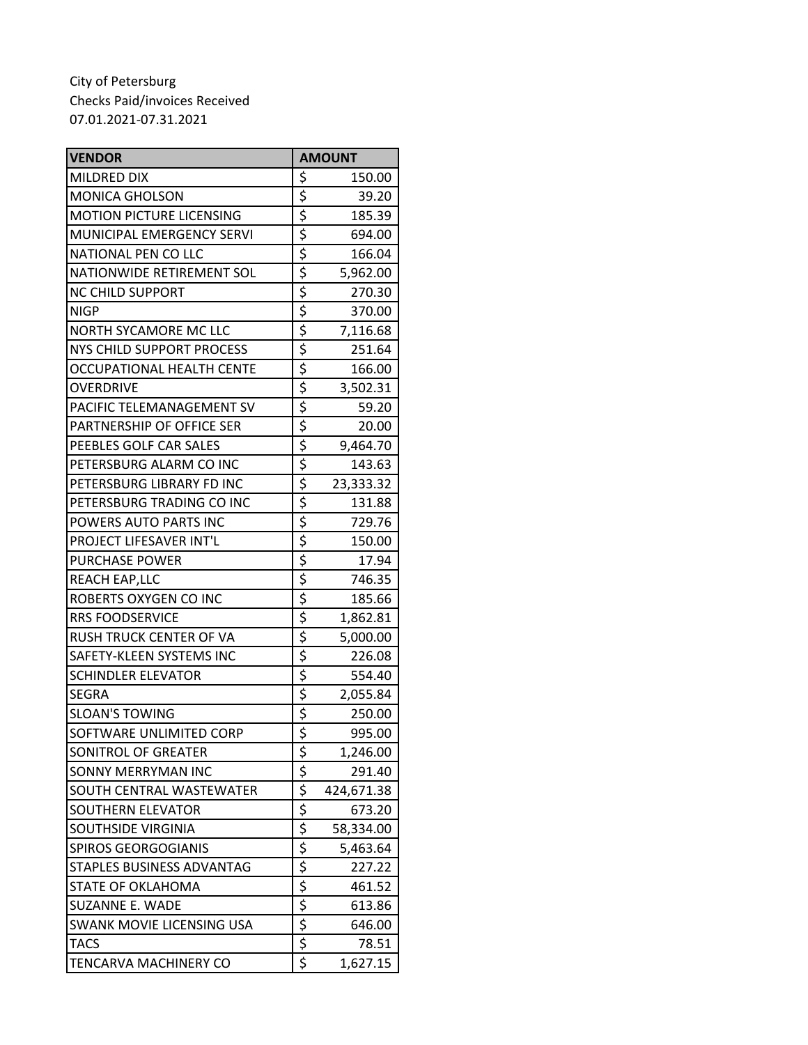| <b>VENDOR</b>                    |                  | <b>AMOUNT</b> |
|----------------------------------|------------------|---------------|
| MILDRED DIX                      | \$               | 150.00        |
| <b>MONICA GHOLSON</b>            | \$               | 39.20         |
| <b>MOTION PICTURE LICENSING</b>  | \$               | 185.39        |
| <b>MUNICIPAL EMERGENCY SERVI</b> | \$               | 694.00        |
| NATIONAL PEN CO LLC              | $\overline{\xi}$ | 166.04        |
| NATIONWIDE RETIREMENT SOL        | \$               | 5,962.00      |
| <b>NC CHILD SUPPORT</b>          | \$               | 270.30        |
| <b>NIGP</b>                      | \$               | 370.00        |
| NORTH SYCAMORE MC LLC            | \$               | 7,116.68      |
| NYS CHILD SUPPORT PROCESS        | \$               | 251.64        |
| OCCUPATIONAL HEALTH CENTE        | \$               | 166.00        |
| <b>OVERDRIVE</b>                 | \$               | 3,502.31      |
| PACIFIC TELEMANAGEMENT SV        | \$               | 59.20         |
| PARTNERSHIP OF OFFICE SER        | \$               | 20.00         |
| PEEBLES GOLF CAR SALES           | \$               | 9,464.70      |
| PETERSBURG ALARM CO INC          | \$               | 143.63        |
| PETERSBURG LIBRARY FD INC        | \$               | 23,333.32     |
| PETERSBURG TRADING CO INC        | $\overline{\xi}$ | 131.88        |
| POWERS AUTO PARTS INC            | \$               | 729.76        |
| PROJECT LIFESAVER INT'L          | $\overline{\xi}$ | 150.00        |
| <b>PURCHASE POWER</b>            | \$               | 17.94         |
| <b>REACH EAP,LLC</b>             | \$               | 746.35        |
| ROBERTS OXYGEN CO INC            | \$               | 185.66        |
| <b>RRS FOODSERVICE</b>           | $\overline{\xi}$ | 1,862.81      |
| RUSH TRUCK CENTER OF VA          | \$               | 5,000.00      |
| SAFETY-KLEEN SYSTEMS INC         | \$               | 226.08        |
| <b>SCHINDLER ELEVATOR</b>        | \$               | 554.40        |
| SEGRA                            | \$               | 2,055.84      |
| <b>SLOAN'S TOWING</b>            | \$               | 250.00        |
| SOFTWARE UNLIMITED CORP          |                  | 995.00        |
| SONITROL OF GREATER              | \$               | 1,246.00      |
| <b>SONNY MERRYMAN INC</b>        | \$               | 291.40        |
| SOUTH CENTRAL WASTEWATER         | \$               | 424,671.38    |
| <b>SOUTHERN ELEVATOR</b>         | \$               | 673.20        |
| SOUTHSIDE VIRGINIA               | \$               | 58,334.00     |
| <b>SPIROS GEORGOGIANIS</b>       | $\overline{\xi}$ | 5,463.64      |
| STAPLES BUSINESS ADVANTAG        | $\overline{\xi}$ | 227.22        |
| STATE OF OKLAHOMA                | $\overline{\xi}$ | 461.52        |
| SUZANNE E. WADE                  | $rac{5}{5}$      | 613.86        |
| <b>SWANK MOVIE LICENSING USA</b> |                  | 646.00        |
| <b>TACS</b>                      | \$               | 78.51         |
| <b>TENCARVA MACHINERY CO</b>     | \$               | 1,627.15      |